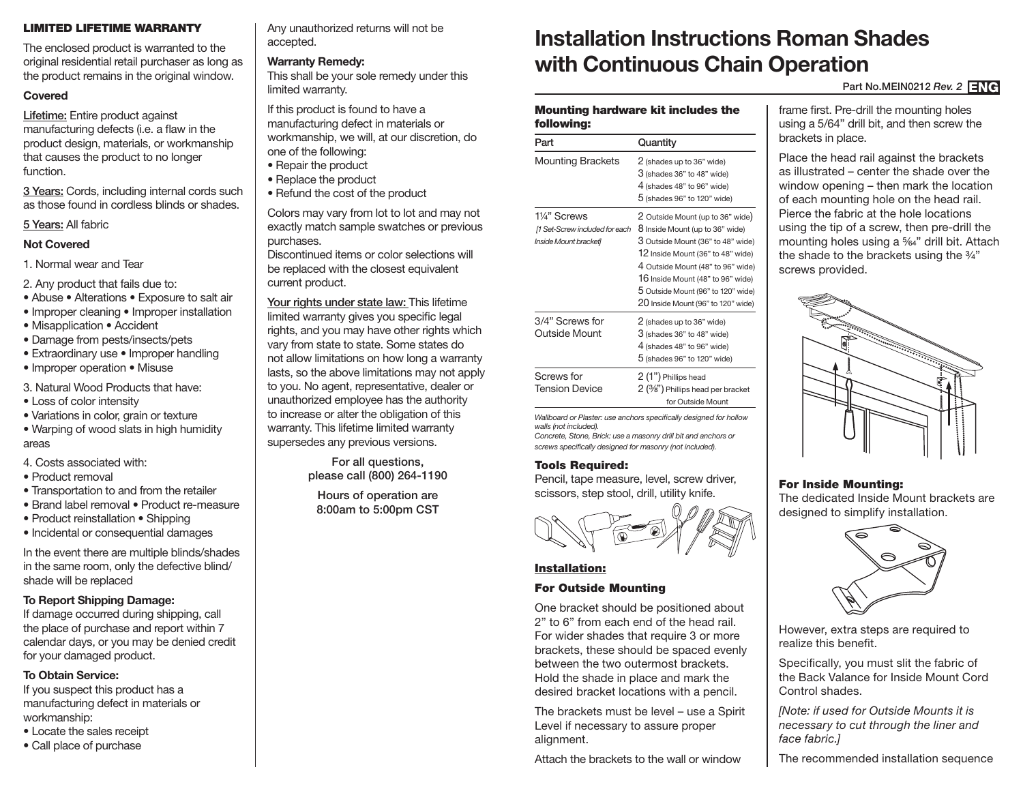## LIMITED LIFETIME WARRANTY

The enclosed product is warranted to the original residential retail purchaser as long as the product remains in the original window.

## **Covered**

Lifetime: Entire product against manufacturing defects (i.e. a flaw in the product design, materials, or workmanship that causes the product to no longer function.

3 Years: Cords, including internal cords such as those found in cordless blinds or shades.

# 5 Years: All fabric

## **Not Covered**

- 1. Normal wear and Tear
- 2. Any product that fails due to:
- Abuse Alterations Exposure to salt air
- Improper cleaning Improper installation
- Misapplication Accident
- Damage from pests/insects/pets
- Extraordinary use Improper handling
- Improper operation Misuse
- 3. Natural Wood Products that have:
- Loss of color intensity
- Variations in color, grain or texture
- Warping of wood slats in high humidity areas
- 4. Costs associated with:
- Product removal
- Transportation to and from the retailer
- Brand label removal Product re-measure
- Product reinstallation Shipping
- Incidental or consequential damages

In the event there are multiple blinds/shades in the same room, only the defective blind/ shade will be replaced

# **To Report Shipping Damage:**

If damage occurred during shipping, call the place of purchase and report within 7 calendar days, or you may be denied credit for your damaged product.

### **To Obtain Service:**

If you suspect this product has a manufacturing defect in materials or workmanship:

- Locate the sales receipt
- Call place of purchase

Any unauthorized returns will not be accepted.

## **Warranty Remedy:**

This shall be your sole remedy under this limited warranty.

If this product is found to have a manufacturing defect in materials or workmanship, we will, at our discretion, do one of the following:

- Repair the product
- Replace the product
- Refund the cost of the product

Colors may vary from lot to lot and may not exactly match sample swatches or previous purchases.

Discontinued items or color selections will be replaced with the closest equivalent current product.

Your rights under state law: This lifetime limited warranty gives you specific legal rights, and you may have other rights which vary from state to state. Some states do not allow limitations on how long a warranty lasts, so the above limitations may not apply to you. No agent, representative, dealer or unauthorized employee has the authority to increase or alter the obligation of this warranty. This lifetime limited warranty supersedes any previous versions.

> For all questions, please call (800) 264-1190

Hours of operation are 8:00am to 5:00pm CST

# **Installation Instructions Roman Shades with Continuous Chain Operation**

Part No.MEIN0212 Rev. 2 **ENG** 

#### Mounting hardware kit includes the following:

| Part                                                                    | Quantity                                                                                                                                                                                                                                                                                            |
|-------------------------------------------------------------------------|-----------------------------------------------------------------------------------------------------------------------------------------------------------------------------------------------------------------------------------------------------------------------------------------------------|
| <b>Mounting Brackets</b>                                                | 2 (shades up to 36" wide)<br>3 (shades 36" to 48" wide)<br>4 (shades 48" to 96" wide)<br>$5$ (shades 96" to 120" wide)                                                                                                                                                                              |
| 11⁄4" Screws<br>[1 Set-Screw included for each<br>Inside Mount bracket] | 2 Outside Mount (up to 36" wide)<br>8 Inside Mount (up to 36" wide)<br>3 Outside Mount (36" to 48" wide)<br>12 Inside Mount (36" to 48" wide)<br>4 Outside Mount (48" to 96" wide)<br>16 Inside Mount (48" to 96" wide)<br>5 Outside Mount (96" to 120" wide)<br>20 Inside Mount (96" to 120" wide) |
| 3/4" Screws for<br>Outside Mount                                        | 2 (shades up to 36" wide)<br>3 (shades 36" to 48" wide)<br>4 (shades 48" to 96" wide)<br>5 (shades 96" to 120" wide)                                                                                                                                                                                |
| Screws for<br><b>Tension Device</b>                                     | 2 (1") Phillips head<br>$2(3/8")$ Phillips head per bracket<br>for Outside Mount                                                                                                                                                                                                                    |

*Wallboard or Plaster: use anchors specifically designed for hollow walls (not included). Concrete, Stone, Brick: use a masonry drill bit and anchors or* 

*screws specifically designed for masonry (not included).*

#### Tools Required:

Pencil, tape measure, level, screw driver, scissors, step stool, drill, utility knife.



#### Installation:

#### For Outside Mounting

One bracket should be positioned about 2" to 6" from each end of the head rail. For wider shades that require 3 or more brackets, these should be spaced evenly between the two outermost brackets. Hold the shade in place and mark the desired bracket locations with a pencil.

The brackets must be level – use a Spirit Level if necessary to assure proper alignment.

Attach the brackets to the wall or window

frame first. Pre-drill the mounting holes using a 5/64" drill bit, and then screw the brackets in place.

Place the head rail against the brackets as illustrated – center the shade over the window opening – then mark the location of each mounting hole on the head rail. Pierce the fabric at the hole locations using the tip of a screw, then pre-drill the mounting holes using a 5/64" drill bit. Attach the shade to the brackets using the 3/4" screws provided.



# For Inside Mounting:

The dedicated Inside Mount brackets are designed to simplify installation.



However, extra steps are required to realize this benefit.

Specifically, you must slit the fabric of the Back Valance for Inside Mount Cord Control shades.

*[Note: if used for Outside Mounts it is necessary to cut through the liner and face fabric.]*

The recommended installation sequence